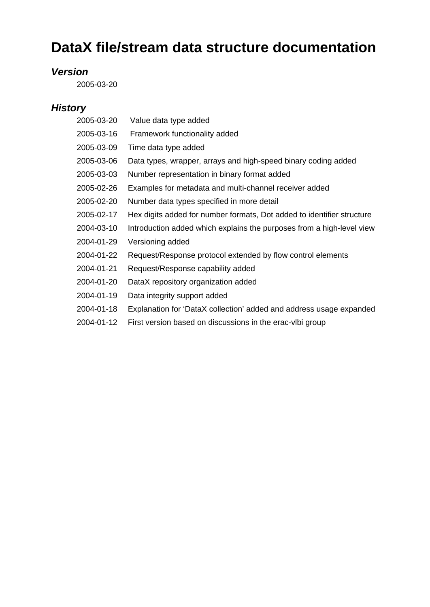## **DataX file/stream data structure documentation**

## *Version*

2005-03-20

## *History*

| 2005-03-20 | Value data type added                                                  |
|------------|------------------------------------------------------------------------|
| 2005-03-16 | Framework functionality added                                          |
| 2005-03-09 | Time data type added                                                   |
| 2005-03-06 | Data types, wrapper, arrays and high-speed binary coding added         |
| 2005-03-03 | Number representation in binary format added                           |
| 2005-02-26 | Examples for metadata and multi-channel receiver added                 |
| 2005-02-20 | Number data types specified in more detail                             |
| 2005-02-17 | Hex digits added for number formats, Dot added to identifier structure |
| 2004-03-10 | Introduction added which explains the purposes from a high-level view  |
| 2004-01-29 | Versioning added                                                       |
| 2004-01-22 | Request/Response protocol extended by flow control elements            |
| 2004-01-21 | Request/Response capability added                                      |
| 2004-01-20 | DataX repository organization added                                    |
| 2004-01-19 | Data integrity support added                                           |
| 2004-01-18 | Explanation for 'DataX collection' added and address usage expanded    |
| 2004-01-12 | First version based on discussions in the erac-vibi group              |
|            |                                                                        |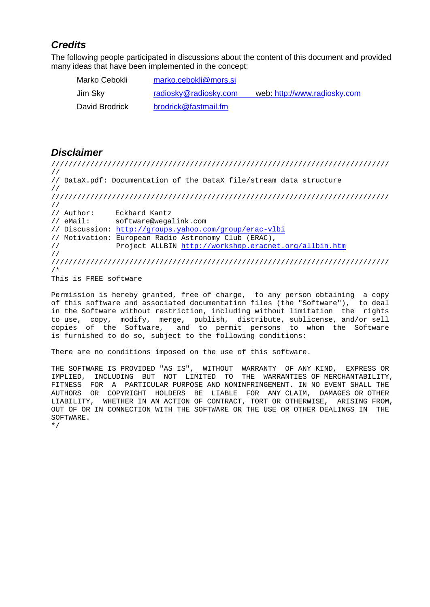## **Credits**

The following people participated in discussions about the content of this document and provided many ideas that have been implemented in the concept:

| Marko Cebokli  | marko.cebokli@mors.si |                              |
|----------------|-----------------------|------------------------------|
| Jim Sky        | radiosky@radiosky.com | web: http://www.radiosky.com |
| David Brodrick | brodrick@fastmail.fm  |                              |

#### Disclaimer

////////////////////////////////////////////////////////////////////////////// // // DataX.pdf: Documentation of the DataX file/stream data structure // ////////////////////////////////////////////////////////////////////////////// // // Author: Eckhard Kantz // eMail: software@wegalink.com // Discussion: [http://groups.yahoo.com/group/erac-vlbi](http://groups.yahoo.com/groups/erac-vlbi) // Motivation: European Radio Astronomy Club (ERAC),<br>// Project ALLBIN http://workshop.eracnet.org/a Project ALLBIN <http://workshop.eracnet.org/allbin.htm> // ////////////////////////////////////////////////////////////////////////////// /\*

This is FREE software

Permission is hereby granted, free of charge, to any person obtaining a copy of this software and associated documentation files (the "Software"), to deal in the Software without restriction, including without limitation the rights to use, copy, modify, merge, publish, distribute, sublicense, and/or sell copies of the Software, and to permit persons to whom the Software is furnished to do so, subject to the following conditions:

There are no conditions imposed on the use of this software.

THE SOFTWARES PROVIDED "AS IS", WITHOUT WARRANTY OF ANY KIND, EXPRESSOR IMPLIED, INCLUDING BUT NOT LIMITED TO THE WARRANTIESOF MERCHANTABILITY, FITNESS FOR A PARTICULAR PURPOSEAND NONINFRINGEMENT. IN NO EVENT SHALL THE AUTHORS OR COPYRIGHT HOLDERS BE LIABLE FOR ANY CLAIM, DAMAGESOR OTHER AUTHORS OR COPYRIGHT HOLDERS BE LIABLE<br>LIABILITY, WHETHERN AN ACTION OF CONTRAG WHETHERN AN ACTION OF CONTRACT, TORT OR OTHERWISE, ARISING FROM, OUT OF OR IN CONNECTION WITH THE SOFTWARE OR THE USE OR OTHER DEALINGS IN THE SOFTWARE.

\*/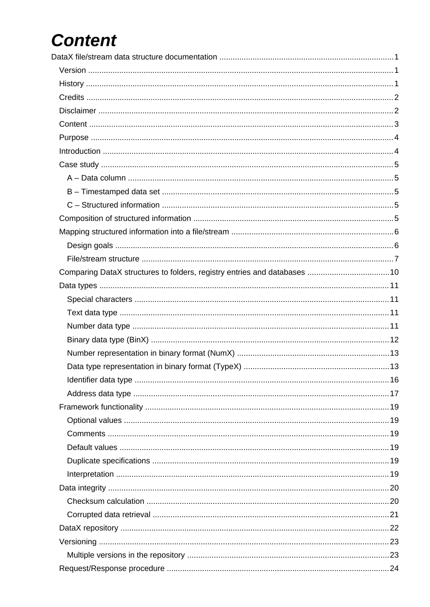# Content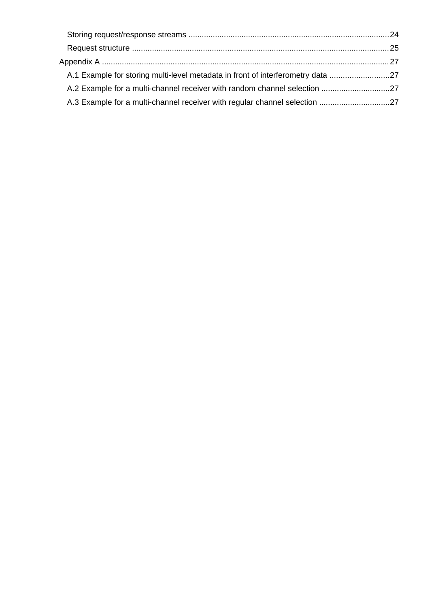| A.1 Example for storing multi-level metadata in front of interferometry data |  |
|------------------------------------------------------------------------------|--|
|                                                                              |  |
|                                                                              |  |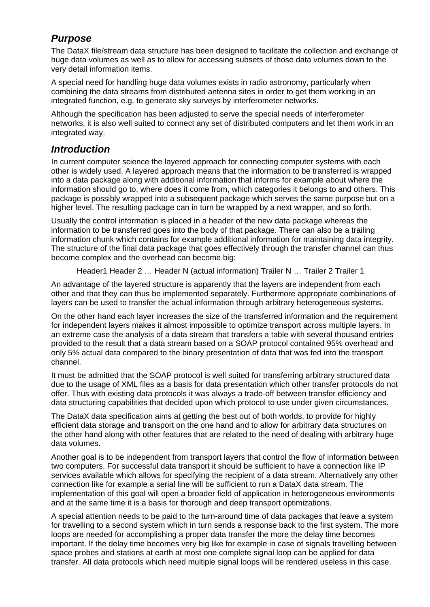## Purpose

The DataX file/stream data structure has been designed to facilitate the collection and exchange of huge data volumes as well as to allow for accessing subsets of those data volumes down to the very detail information items.

A special need for handling [huge data volumes exists](mailto:marko.cebokli@mors.si) in radio astronomy, particularly when combining the data streams [from distributed antenna](mailto:radiosky@radiosky.com) sites in or[der to get them working in](http://www.radiosky.com) an integrated function, e.g. to g[enerate sky surveys by](mailto:brodrick@fastmail.fm) interferometer networks.

Although the specification has been adjusted to serve the special needs of interferometer networks, it is also well suited to connect any set of distributed computers and let them work in an integrated way.

#### **Introduction**

In current computer science the layered approach for connecting computer systems with each other is widely used. A layered approach means that the information to be transferred is wrapped into a data package along with additional information that informs for example about where the information should go to, where does it come from, which categories it belongs to and others. This package is possibly wrapped into a subsequent package which serves the same purpose but on a higher level. The resulting package can in turn be wrapped by a next wrapper, and so forth.

Usually the control information is placed in a header of the new data package whereas the information to be t[ransferred goes into the body of that package. Th](http://groups.yahoo.com/groups/erac-vlbi)ere can also be a trailing information chunk which contains for example additional information for maintaining data integrity. The structure of the final data packa[ge that goes effectively through the transfer chan](http://workshop.eracnet.org/allbin.htm)nel can thus become complex and the overhead can become big:

Header1 Header 2 … Header N (actual information) Trailer N … Trailer 2 Trailer 1

An advantage of the layered structure is apparently that the layers are independent from each other and that they can thus be implemented separately. Furthermore appropriate combinations of layers can be used to transfer the actual information through arbitrary heterogeneous systems.

On the other hand each layer increases the size of the transferred information and the requirement for independent layers makes it almost impossible to optimize transport across multiple layers. In an extreme case the analysis of a data stream that transfers a table with several thousand entries provided to the result that a data stream based on a SOAP protocol contained 95% overhead and only 5% actual data compared to the binary presentation of data that was fed into the transport channel.

It must be admitted that the SOAP protocol is well suited for transferring arbitrary structured data due to the usage of XML files as a basis for data presentation which other transfer protocols do not offer. Thus with existing data protocols it was always a trade-off between transfer efficiency and data structuring capabilities that decided upon which protocol to use under given circumstances.

The DataX data specification aims at getting the best out of both worlds, to provide for highly efficient data storage and transport on the one hand and to allow for arbitrary data structures on the other hand along with other features that are related to the need of dealing with arbitrary huge data volumes.

Another goal is to be independent from transport layers that control the flow of information between two computers. For successful data transport it should be sufficient to have a connection like IP services available which allows for specifying the recipient of a data stream. Alternatively any other connection like for example a serial line will be sufficient to run a DataX data stream. The implementation of this goal will open a broader field of application in heterogeneous environments and at the same time it is a basis for thorough and deep transport optimizations.

A special attention needs to be paid to the turn-around time of data packages that leave a system for travelling to a second system which in turn sends a response back to the first system. The more loops are needed for accomplishing a proper data transfer the more the delay time becomes important. If the delay time becomes very big like for example in case of signals travelling between space probes and stations at earth at most one complete signal loop can be applied for data transfer. All data protocols which need multiple signal loops will be rendered useless in this case.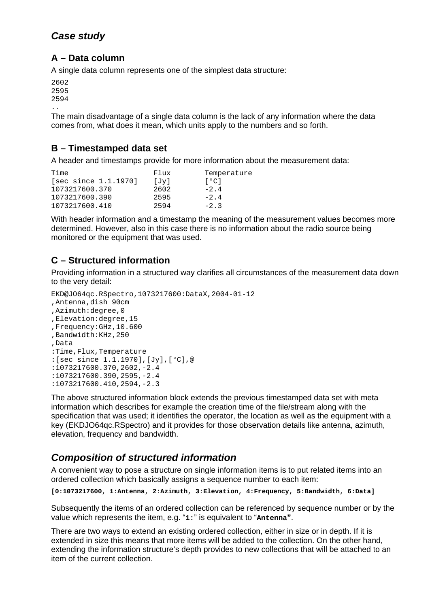## Case study

## A – Data column

A single data column represents one of the simplest data structure:

The main disadvantage of a single data column is the lack of any information where the data comes from, what does it mean, which units apply to the numbers and so forth.

## B – Timestamped data set

A header and timestamps provide for more information about the measurement data:

| Flux | Temperature              |
|------|--------------------------|
| [Jv] | $\Gamma$ <sup>o</sup> Cl |
| 2602 | $-2.4$                   |
|      | -24                      |
| 2594 | $-2.3$                   |
|      | 2595                     |

With header information and a timestamp the meaning of the measurement values becomes more determined. Howe[ver, also in this case there is no information abou](http://groups.yahoo.com/groups/erac-vlbi)t the radio source being monitored or the equipment that was used.

## C – Structured information

Providing information in a structured way clarifies all circumstances of the measurement data down to the very detail:

EKD@JO64qc.RSpectro,1073217600:DataX,2004-01-12 ,Antenna,dish 90cm ,Azimuth:degree,0 ,Elevation:degree,15 ,Frequency:GHz,10.600 ,Bandwidth:KHz,250 ,Data :Time,Flux,Temperature :[sec since 1.1.1970],[Jy],[°C],@ :1073217600.370,2602,-2.4 :1073217600.390,2595,-2.4 :1073217600.410,2594,-2.3

The above structured information block extends the previous timestamped data set with meta information which describes for example the creation time of the file/stream along with the specification that was used; it identifies the operator, the location as well as the equipment with a key (EKDJO64qc.RSpectro) and it provides for those observation details like antenna, azimuth, elevation, frequency and bandwidth.

## Composition of structured information

A convenient way to pose a structure on single information items is to put related items into an ordered collection which basically assigns a sequence number to each item:

[0:1073217600, 1:Antenna, 2:Azimuth, 3:Elevation, 4:Frequency, 5:Bandwidth, 6:Data]

Subsequently the items of an ordered collection can be referenced by sequence number or by the value which represents the item, e.g. "1: " is equivalent to "Antenna " .

There are two ways to extend an existing ordered collection, either in size or in depth. If it is extended in size this means that more items will be added to the collection. On the other hand, extending the information structure's depth provides to new collections that will be attached to an item of the current collection.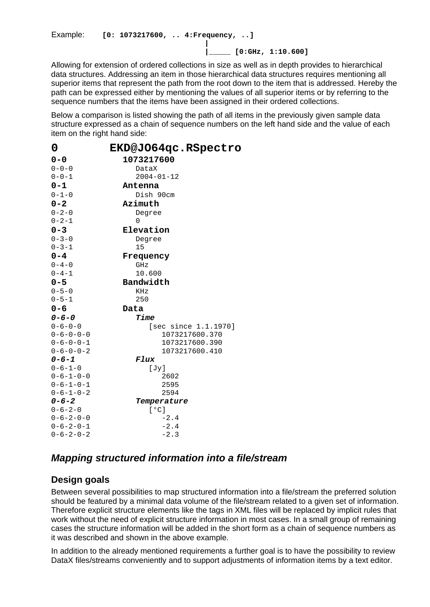Example: [0: 1073217600, .. 4: Frequency, ..] | [0:GHz, 1:10.600]

Allowing for extension of ordered collections in size as well as in depth provides to hierarchical data structures. Addressing an item in those hierarchical data structures requires mentioning all superior items that represent [the path from the root d](mailto:marko.cebokli@mors.si)own to the item that is addressed. Hereby the path can be expressed eithe[r by mentioning the value](mailto:radiosky@radiosky.com)s of all su[perior items or by referrin](http://www.radiosky.com)g to the sequence numbers that the i[tems have been assig](mailto:brodrick@fastmail.fm)ned in their ordered collections.

Below a comparison is listed showing the path of all items in the previously given sample data structure expressed as a chain of sequence numbers on the left hand side and the value of each item on the right hand side:

| 0                   | EKD@JO64qc.RSpectro        |
|---------------------|----------------------------|
| 0-0                 | 1073217600                 |
| $0 - 0 - 0$         | DataX                      |
| $0 - 0 - 1$         | 2004-01-12                 |
| $0 - 1$             | Antenna                    |
| $0 - 1 - 0$         | Dish<br>90cm               |
| $0 - 2$             | Azimuth                    |
| $0 - 2 - 0$         | Degree                     |
| $0 - 2 - 1$         | 0                          |
| $0 - 3$             | Elevation                  |
| $0 - 3 - 0$         | Degree                     |
| $0 - 3 - 1$         | 15                         |
| $0 - 4$             | Frequency                  |
| $0 - 4 - 0$         | GHz                        |
| $0 - 4 - 1$         | 10.600                     |
| $0 - 5$             | <b>Bandwidth</b>           |
| $0 - 5 - 0$         | KHz                        |
| $0 - 5 - 1$         | 250                        |
| $0 - 6$             | Data                       |
| $0 - 6 - 0$         | Time                       |
| $0 - 6 - 0 - 0$     | since<br>1.1.1970]<br>[sec |
| $0 - 6 - 0 - 0 - 0$ | 1073217600.370             |
| $0 - 6 - 0 - 0 - 1$ | 1073217600.390             |
| $0 - 6 - 0 - 0 - 2$ | 1073217600.410             |
| $0 - 6 - 1$         | <b>Flux</b>                |
| $0 - 6 - 1 - 0$     | [Jy]                       |
| $0 - 6 - 1 - 0 - 0$ | 2602                       |
| $0 - 6 - 1 - 0 - 1$ | 2595                       |
| $0 - 6 - 1 - 0 - 2$ | 2594                       |
| $0 - 6 - 2$         | Temperature                |
| $0 - 6 - 2 - 0$     | [°C]                       |
| $0 - 6 - 2 - 0 - 0$ | $-2.4$                     |
| $0 - 6 - 2 - 0 - 1$ | $-2.4$                     |
| $0 - 6 - 2 - 0 - 2$ | $-2.3$                     |

Mapping structured information into a file/stream

## Design goals

Between several possibilities to map structured information into a file/stream the preferred solution should be featured by a minimal data volume of the file/stream related to a given set of information. Therefore explicit structure elements like the tags in XML files will be replaced by implicit rules that work without the need of explicit structure information in most cases. In a small group of remaining cases the structure information will be added in the short form as a chain of sequence numbers as it was described and shown in the above example.

In addition to the already mentioned requirements a further goal is to have the possibility to review DataX files/streams conveniently and to support adjustments of information items by a text editor.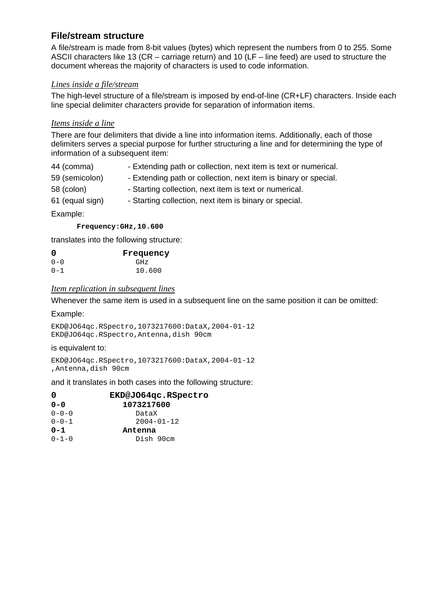#### File/stream structure

A file/stream is made from 8-bit values (bytes) which represent the numbers from 0 to 255. Some ASCII characters like 13 (CR – carriage return) and 10 (LF – line feed) are used to structure the document whereas the majority of characters is used to code information.

#### Lines inside a file/stream

The high-level structure of a [file/stream is imposed by](mailto:radiosky@radiosky.com) end-of-li[ne \(CR+LF\) characters. In](http://www.radiosky.com)side each line special delimiter charact[ers provide for separa](mailto:brodrick@fastmail.fm)tion of information items.

#### Itemsinside a line

There are four delimiters that divide a line into information items. Additionally, each of those delimiters serves a special purpose for further structuring a line and for determining the type of information of a subsequent item:

| 44 (comma)      | - Extending path or collection, next item is text or numerical. |
|-----------------|-----------------------------------------------------------------|
| 59 (semicolon)  | - Extending path or collection, next item is binary or special. |
| 58 (colon)      | - Starting collection, next item is text or numerical.          |
| 61 (equal sign) | - Starting collection, next item is binary or special.          |

Example:

Frequency:[GHz,10.600](http://groups.yahoo.com/groups/erac-vlbi)

translates into the following structure[:](http://workshop.eracnet.org/allbin.htm)

| $\Omega$ | Frequency |
|----------|-----------|
| 0-0      | GHz       |
| $0 - 1$  | 10.600    |

#### Item replication in subsequentines

Whenever the same item is used in a subsequent line on the same position it can be omitted:

Example:

EKD@JO64qc.RSpectro,1073217600:DataX,2004-01-12 EKD@JO64qc.RSpectro,Antenna,dish 90cm

is equivalent to:

EKD@JO64qc.RSpectro,1073217600:DataX,2004-01-12 ,Antenna,dish 90cm

and it translates in both cases into the following structure:

| 0           | EKD@JO64qc.RSpectro |
|-------------|---------------------|
| $0 - 0$     | 1073217600          |
| $0 - 0 - 0$ | DataX               |
| $0 - 0 - 1$ | 2004-01-12          |
| $0 - 1$     | Antenna             |
| $0 - 1 - 0$ | Dish 90cm           |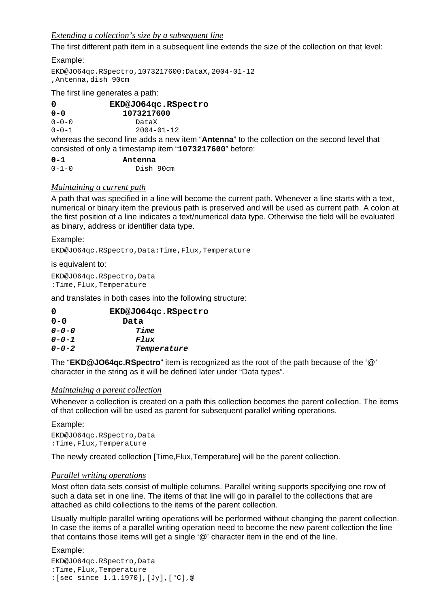#### Extending acollection's size by a subsequent the

The first different path item in a subsequent line extends the size of the collection on that level:

Example: EKD@JO64qc.RSpectro,1073217600:DataX,2004-01-12 ,Antenna,dish 90cm

The first line generates a pat[h:](mailto:radiosky@radiosky.com)

| 0           | EKD@JO64qc.RSpectro |
|-------------|---------------------|
| ი-ი         | 1073217600          |
| $0 - 0 - 0$ | DataX               |
| $0 - 0 - 1$ | 2004-01-12          |
|             |                     |

whereas the second line adds a new item "Antenna " to the collection on the second level that consisted of only a timestamp item "1073217600 " before:

| $0 - 1$     | Antenna   |  |
|-------------|-----------|--|
| $0 - 1 - 0$ | Dish 90cm |  |

#### Maintaining a current path

A path that was specified in a line will become the current path. Whenever a line starts with a text, numerical or binary item the previous path is preserved and will be used as current path. A colon at the first position of a line indicates a text/numerical data type. Otherwise the field will be evaluated as binary, address [or identifier data type.](http://groups.yahoo.com/groups/erac-vlbi)

Example:

EKD@JO64qc.RSpectro,Data:Time,Flu[x,Temperature](http://workshop.eracnet.org/allbin.htm)

is equivalent to:

EKD@JO64qc.RSpectro,Data :Time,Flux,Temperature

and translates in both cases into the following structure:

| $\Omega$    | EKD@JO64qc.RSpectro |
|-------------|---------------------|
| $0 - 0$     | Data                |
| $0 - 0 - 0$ | Time                |
| $0 - 0 - 1$ | <b>Flux</b>         |
| $0 - 0 - 2$ | Temperature         |
|             |                     |

The "EKD@JO64qc.RSpectro " item is recognized as the root of the path because of the '@' character in the string as it will be defined later under "Data types".

#### Maintaining a parent collection

Whenever a collection is created on a path this collection becomes the parent collection. The items of that collection will be used as parent for subsequent parallel writing operations.

Example:

EKD@JO64qc.RSpectro,Data :Time,Flux,Temperature

The newly created collection [Time,Flux,Temperature] will be the parent collection.

#### Parallel writing operations

Most often data sets consist of multiple columns. Parallel writing supports specifying one row of such a data set in one line. The items of that line will go in parallel to the collections that are attached as child collections to the items of the parent collection.

Usually multiple parallel writing operations will be performed without changing the parent collection. In case the items of a parallel writing operation need to become the new parent collection the line that contains those items will get a single '@' character item in the end of the line.

Example:

EKD@JO64qc.RSpectro,Data :Time,Flux,Temperature :[sec since 1.1.1970],[Jy],[°C],@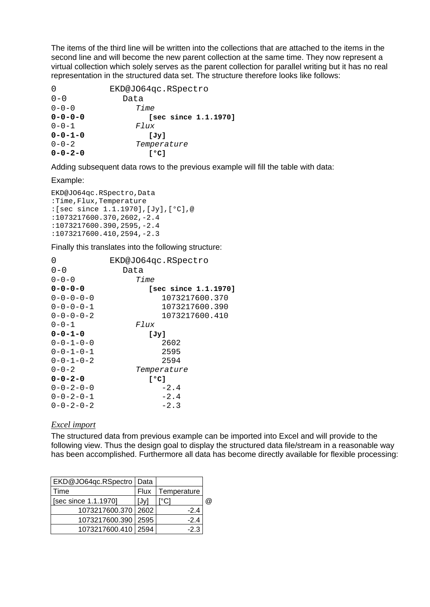The items of the third line will be written into the collections that are attached to the items in the second line and will become the new parent collection at the same time. They now represent a virtual collection which solely serves as the parent collection for parallel writing but it has no real representation in the structur[ed data set. The structur](mailto:marko.cebokli@mors.si)e therefore looks like follows:

| $\overline{0}$  | EKD@JO64qc.RSpectro  |  |  |  |
|-----------------|----------------------|--|--|--|
| $0 - 0$         | Data                 |  |  |  |
| $0 - 0 - 0$     | Time                 |  |  |  |
| $0 - 0 - 0 - 0$ | [sec since 1.1.1970] |  |  |  |
| $0 - 0 - 1$     | Flux                 |  |  |  |
| $0 - 0 - 1 - 0$ | [Jv]                 |  |  |  |
| $0 - 0 - 2$     | Temperature          |  |  |  |
| $0 - 0 - 2 - 0$ | [°C]                 |  |  |  |

Adding subsequent data rows to the previous example will fill the table with data:

Example:

EKD@JO64qc.RSpectro,Data :Time,Flux,Temperature :[sec since 1.1.1970],[Jy],[°C],@ :1073217600.370,2602,-2.4 :1073217600.390,2595,-2.4 :1073217600.410,2[594,-2.3](http://groups.yahoo.com/groups/erac-vlbi) 

Finally this translates into the followi[ng structure:](http://workshop.eracnet.org/allbin.htm)

| 0                   | EKD@JO64qc.RSpectro  |
|---------------------|----------------------|
| $0 - 0$             | Data                 |
| $0 - 0 - 0$         | Time                 |
| $0 - 0 - 0 - 0$     | [sec since 1.1.1970] |
| $0 - 0 - 0 - 0$     | 1073217600.370       |
| $0 - 0 - 0 - 1$     | 1073217600.390       |
| $0 - 0 - 0 - 2$     | 1073217600.410       |
| $0 - 0 - 1$         | Flux                 |
| $0 - 0 - 1 - 0$     | [Jy]                 |
| $0 - 0 - 1 - 0 - 0$ | 2602                 |
| $0 - 0 - 1 - 0 - 1$ | 2595                 |
| $0 - 0 - 1 - 0 - 2$ | 2594                 |
| $0 - 0 - 2$         | Temperature          |
| $0 - 0 - 2 - 0$     | [°C]                 |
| $0 - 0 - 2 - 0 - 0$ | $-2.4$               |
| $0 - 0 - 2 - 0 - 1$ | $-2.4$               |
| $0 - 0 - 2 - 0 - 2$ | $-2.3$               |

#### **Excelimport**

The structured data from previous example can be imported into Excel and will provide to the following view. Thus the design goal to display the structured data file/stream in a reasonable way has been accomplished. Furthermore all data has become directly available for flexible processing:

| EKD@JO64qc.RSpectro  | Data        |             |   |
|----------------------|-------------|-------------|---|
| Time                 | <b>Flux</b> | Temperature |   |
| [sec since 1.1.1970] | [Jv]        |             | @ |
| 1073217600.370       | 2602        | $-2.4$      |   |
| 1073217600.390       | 2595        | $-2.4$      |   |
| 1073217600.410       | 2594        | -23         |   |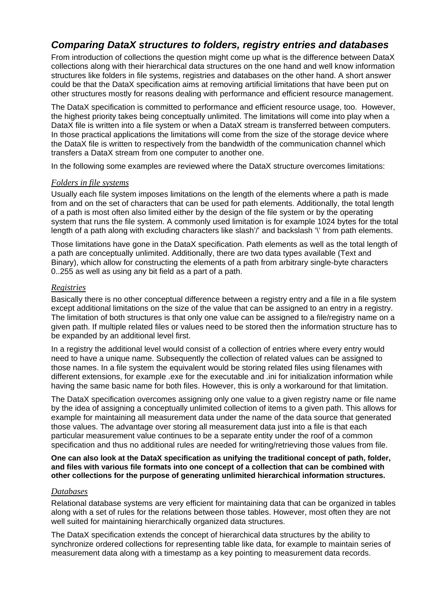## Comparing DataX structures to folders, registry entries and databases

From introduction of collections the question might come up what is the difference between DataX collections along with their hierarchical data structures on the one hand and well know information structures like folders in file [systems, registries and d](mailto:marko.cebokli@mors.si)atabases on the other hand. A short answer could be that the DataX specification aims at removing artificial limitations that have been put on other structures mostly for re[asons dealing with perfo](mailto:radiosky@radiosky.com)rmance a[nd efficient resource mana](http://www.radiosky.com)gement.

The DataX specification is c[ommitted to performan](mailto:brodrick@fastmail.fm)ce and efficient resource usage, too. However, the highest priority takes being conceptually unlimited. The limitations will come into play when a DataX file is written into a file system or when a DataX stream is transferred between computers. In those practical applications the limitations will come from the size of the storage device where the DataX file is written to respectively from the bandwidth of the communication channel which transfers a DataX stream from one computer to another one.

In the following some examples are reviewed where the DataX structure overcomes limitations:

#### Foldersin file systems

Usually each file system imposes limitations on the length of the elements where a path is made from and on the set of characters that can be used for path elements. Additionally, the total length of a path is most often also limited either by the design of the file system or by the operating system that runs the file system. A commonly used limitation is for example 1024 bytes for the total length of a path al[ong with excluding characters like slash'/' and ba](http://groups.yahoo.com/groups/erac-vlbi)ckslash '\' from path elements.

Those limitations have gone in the D[ataX specification. Path elements as well as the](http://workshop.eracnet.org/allbin.htm) total length of a path are conceptually unlimited. Additionally, there are two data types available (Text and Binary), which allow for constructing the elements of a path from arbitrary single-byte characters 0..255 as well as using any bit field as a part of a path.

#### **Registries**

Basically there is no other conceptual difference between a registry entry and a file in a file system except additional limitations on the size of the value that can be assigned to an entry in a registry. The limitation of both structures is that only one value can be assigned to a file/registry name on a given path. If multiple related files or values need to be stored then the information structure has to be expanded by an additional level first.

In a registry the additional level would consist of a collection of entries where every entry would need to have a unique name. Subsequently the collection of related values can be assigned to those names. In a file system the equivalent would be storing related files using filenames with different extensions, for example .exe for the executable and .ini for initialization information while having the same basic name for both files. However, this is only a workaround for that limitation.

The DataX specification overcomes assigning only one value to a given registry name or file name by the idea of assigning a conceptually unlimited collection of items to a given path. This allows for example for maintaining all measurement data under the name of the data source that generated those values. The advantage over storing all measurement data just into a file is that each particular measurement value continues to be a separate entity under the roof of a common specification and thus no additional rules are needed for writing/retrieving those values from file.

One can also look at the DataX specification as unifying the traditional concept of path, folder, and files with various file formats into one concept of a collection that can be combined with oth er collections for the purpose of generating unlimited hierarchical information structures.

#### Databases

Relational database systems are very efficient for maintaining data that can be organized in tables along with a set of rules for the relations between those tables. However, most often they are not well suited for maintaining hierarchically organized data structures.

The DataX specification extends the concept of hierarchical data structures by the ability to synchronize ordered collections for representing table like data, for example to maintain series of measurement data along with a timestamp as a key pointing to measurement data records.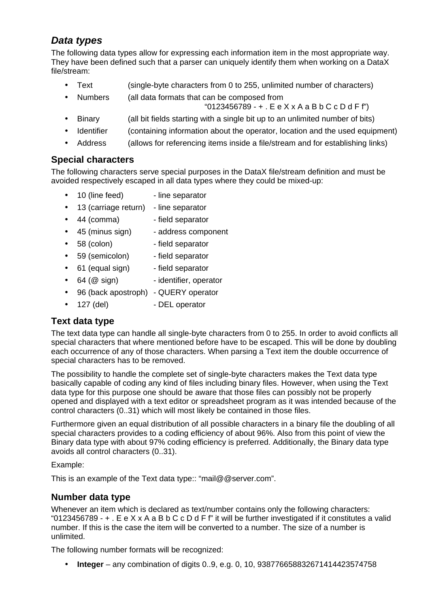## Data types

The following data types allow for expressing each information item in the most appropriate way. They have been defined such that a parser can uniquely identify them when working on a DataX file/stream:

- Text (single[-byte characters from 0 t](mailto:marko.cebokli@mors.si)o 255, unli[mited number of characte](http://www.radiosky.com)rs)
	- Numbers (all dat[a formats that can be com](mailto:radiosky@radiosky.com)posed from

 $"0123456789 - +$  $"0123456789 - +$ . E e  $X \times A$  a B b C c D d F f")

- · Binary (all bit fields starting with a single bit up to an unlimited number of bits)
- · Identifier (containing information about the operator, location and the used equipment)
- · Address (allows for referencing items inside a file/stream and for establishing links)

## Special characters

The following characters serve special purposes in the DataX file/stream definition and must be avoided respectively escaped in all data types where they could be mixed-up:

- · 10 (line feed) line separator
- · 13 (carriage return) line separator
- · 44 (comma) field separator
- · 45 (minus [sign\) address component](http://groups.yahoo.com/groups/erac-vlbi)
- · 58 (colon) field s[eparator](http://workshop.eracnet.org/allbin.htm)
- · 59 (semicolon) field separator
- · 61 (equal sign) field separator
- · 64 (@ sign) identifier, operator
- · 96 (back apostroph) QUERY operator
- · 127 (del) DEL operator

## Text data type

The text data type can handle all single-byte characters from 0 to 255. In order to avoid conflicts all special characters that where mentioned before have to be escaped. This will be done by doubling each occurrence of any of those characters. When parsing a Text item the double occurrence of special characters has to be removed.

The possibility to handle the complete set of single-byte characters makes the Text data type basically capable of coding any kind of files including binary files. However, when using the Text data type for this purpose one should be aware that those files can possibly not be properly opened and displayed with a text editor or spreadsheet program as it was intended because of the control characters (0..31) which will most likely be contained in those files.

Furthermore given an equal distribution of all possible characters in a binary file the doubling of all special characters provides to a coding efficiency of about 96%. Also from this point of view the Binary data type with about 97% coding efficiency is preferred. Additionally, the Binary data type avoids all control characters (0..31).

#### Example:

This is an example of the Text data type:: "mail@@server.com".

#### Number data type

Whenever an item which is declared as text/number contains only the following characters: "0123456789 - + . E e X x A a B b C c D d F f" it will be further investigated if it constitutes a valid number. If this is the case the item will be converted to a number. The size of a number is unlimited.

The following number formats will be recognized:

· Integer – any combination of digits 0..9, e.g. 0, 10, 938776658832671414423574758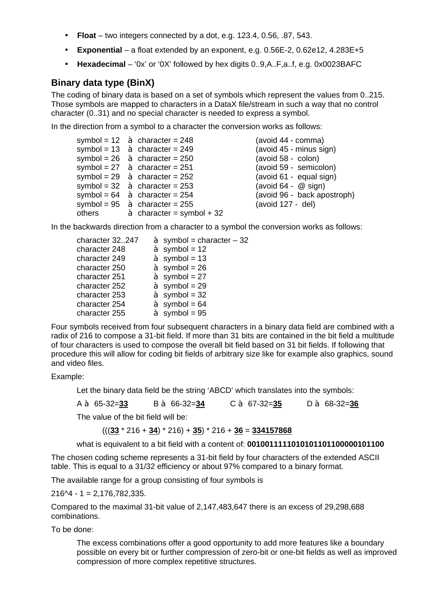- · Float two integers connected by a dot, e.g. 123.4, 0.56, .87, 543.
- · Exponential a float extended by an exponent, e.g. 0.56E-2, 0.62e12, 4.283E+5
- · Hexadecimal '0x' or '0X' followed by hex digits 0..9,A..F,a..f, e.g. 0x0023BAFC

#### Binary data type (BinX)

The coding of binary data is [based on a set of symbol](mailto:radiosky@radiosky.com)s which r[epresent the values from 0](http://www.radiosky.com)..215. Those symbols are mapped [to characters in a Data](mailto:brodrick@fastmail.fm)X file/stream in such a way that no control character (0..31) and no special character is needed to express a symbol.

In the direction from a symbol to a character the conversion works as follows:

| symbol = $29$ à character = $252$ |
|-----------------------------------|
|                                   |
|                                   |
|                                   |
| à character = symbol + 32         |
|                                   |

 $(avoid 44 - comm)$  $(avoid 45 - minus sign)$  $(avoid 58 - colon)$ (avoid 59 - semicolon)  $(avoid 61 - equal sign)$  $($ avoid 64 -  $\circledR$  sign) (avoid 96 - back apostroph)  $(avoid 127 - del)$ 

In the backwards [direction from a character to a symbol the conver](http://groups.yahoo.com/groups/erac-vlbi)sion works as follows:

| character 32247 | $\dot{a}$ symbol = character - 32 |
|-----------------|-----------------------------------|
| character 248   | $\dot{a}$ symbol = 12             |
| character 249   | $\dot{a}$ symbol = 13             |
| character 250   | $\dot{a}$ symbol = 26             |
| character 251   | $\dot{a}$ symbol = 27             |
| character 252   | $\dot{a}$ symbol = 29             |
| character 253   | $a$ symbol = 32                   |
| character 254   | $\dot{a}$ symbol = 64             |
| character 255   | $\dot{a}$ symbol = 95             |

Four symbols received from four subsequent characters in a binary data field are combined with a radix of 216 to compose a 31-bit field. If more than 31 bits are contained in the bit field a multitude of four characters is used to compose the overall bit field based on 31 bit fields. If following that procedure this will allow for coding bit fields of arbitrary size like for example also graphics, sound and video files.

#### Example:

Let the binary data field be the string 'ABCD' which translates into the symbols:

A à 65-32=33 B à 66-32=34 C à 67-32=35 D à 68-32=36

The value of the bit field will be:

 $(((33 * 216 + 34) * 216) + 35) * 216 + 36 = 334157868$ 

what is equivalent to a bit field with a content of: 0010011111010101101100000101100

The chosen coding scheme represents a 31-bit field by four characters of the extended ASCII table. This is equal to a 31/32 efficiency or about 97% compared to a binary format.

The available range for a group consisting of four symbols is

 $216$ <sup>2</sup> - 1 = 2,176,782,335.

Compared to the maximal 31-bit value of 2,147,483,647 there is an excess of 29,298,688 combinations.

To be done:

The excess combinations offer a good opportunity to add more features like a boundary possible on every bit or further compression of zero-bit or one-bit fields as well as improved compression of more complex repetitive structures.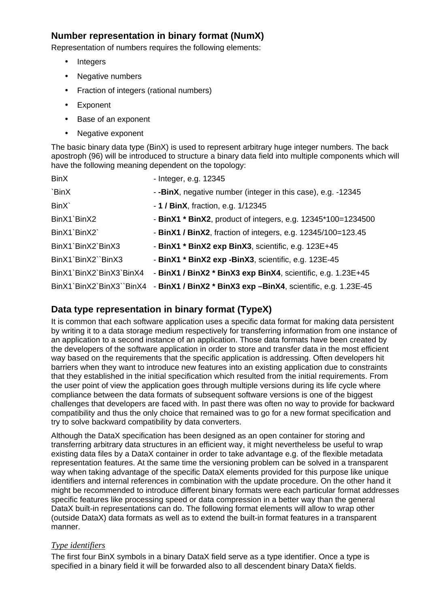Number representation in binary format (NumX) Representation of numbers requires the following elements:

- **Integers**
- · Negative numbers
- · Fraction of integers (r[ational numbers\)](mailto:radiosky@radiosky.com)
- · Exponent
- Base of an exponent
- · Negative exponent

The basic binary data type (BinX) is used to represent arbitrary huge integer numbers. The back apostroph (96) will be introduced to structure a binary data field into multiple components which will have the following meaning dependent on the topology:

| <b>BinX</b>             | - Integer, e.g. 12345                                                                  |
|-------------------------|----------------------------------------------------------------------------------------|
| `BinX                   | - -BinX, negative number (integer in this case), e.g. -12345                           |
| BinX                    | $-1$ / BinX, fraction, e.g. 1/12345                                                    |
| BinX1`BinX2             | - BinX1 * BinX2, product of integers, e.g. 12345*100=1234500                           |
| BinX1`BinX2`            | - BinX1 / BinX2, fraction of integers, e.g. 12345/100=123.45                           |
| BinX1`BinX2`BinX3       | - BinX1 * BinX2 exp BinX3, scientific, e.g. 123E+45                                    |
| BinX1`BinX2``BinX3      | - BinX1 * BinX2 exp - BinX3, scientific, e.g. 123E-45                                  |
| BinX1`BinX2`BinX3`BinX4 | - BinX1 / BinX2 * BinX3 exp BinX4, scientific, e.g. 1.23E+45                           |
|                         | BinX1`BinX2`BinX3``BinX4 - BinX1 / BinX2 * BinX3 exp -BinX4, scientific, e.g. 1.23E-45 |

## Data type representation in binary format (TypeX)

It is common that each software application uses a specific data format for making data persistent by writing it to a data storage medium respectively for transferring information from one instance of an application to a second instance of an application. Those data formats have been created by the developers of the software application in order to store and transfer data in the most efficient way based on the requirements that the specific application is addressing. Often developers hit barriers when they want to introduce new features into an existing application due to constraints that they established in the initial specification which resulted from the initial requirements. From the user point of view the application goes through multiple versions during its life cycle where compliance between the data formats of subsequent software versions is one of the biggest challenges that developers are faced with. In past there was often no way to provide for backward compatibility and thus the only choice that remained was to go for a new format specification and try to solve backward compatibility by data converters.

Although the DataX specification has been designed as an open container for storing and transferring arbitrary data structures in an efficient way, it might nevertheless be useful to wrap existing data files by a DataX container in order to take advantage e.g. of the flexible metadata representation features. At the same time the versioning problem can be solved in a transparent way when taking advantage of the specific DataX elements provided for this purpose like unique identifiers and internal references in combination with the update procedure. On the other hand it might be recommended to introduce different binary formats were each particular format addresses specific features like processing speed or data compression in a better way than the general DataX built-in representations can do. The following format elements will allow to wrap other (outside DataX) data formats as well as to extend the built-in format features in a transparent manner.

#### **Typeidentifiers**

The first four BinX symbols in a binary DataX field serve as a type identifier. Once a type is specified in a binary field it will be forwarded also to all descendent binary DataX fields.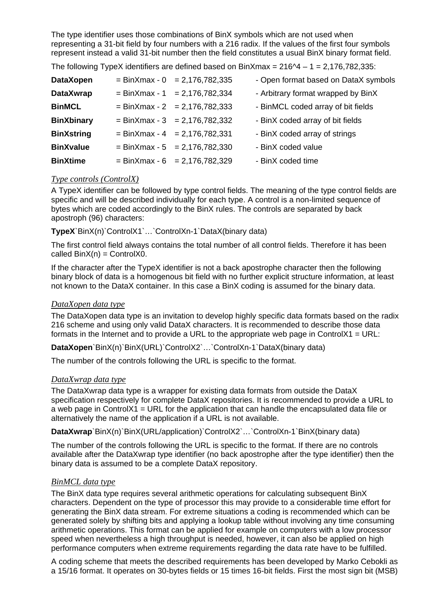The type identifier uses those combinations of BinX symbols which are not used when representing a 31-bit field by four numbers with a 216 radix. If the values of the first four symbols represent instead a valid 31-bit number then the field constitutes a usual BinX binary format field.

The following TypeX identifiers are defined based on BinXmax =  $216^2 - 1 = 2,176,782,335$ :

| DataXopen         | $= \frac{BinXmax - 0}{= 2,176,782,335}$ | - Open format based on DataX symbols |
|-------------------|-----------------------------------------|--------------------------------------|
| DataXwrap         | $= \frac{BinXmax - 1}{= 2,176,782,334}$ | - Arbitrary format wrapped by BinX   |
| <b>BinMCL</b>     | $= \frac{BinXmax - 2}{= 2,176,782,333}$ | - BinMCL coded array of bit fields   |
| <b>BinXbinary</b> | $= \frac{BinXmax - 3}{= 2,176,782,332}$ | - BinX coded array of bit fields     |
| <b>BinXstring</b> | $= \frac{BinXmax - 4}{= 2,176,782,331}$ | - BinX coded array of strings        |
| <b>BinXvalue</b>  | $= \frac{BinXmax - 5}{= 2,176,782,330}$ | - BinX coded value                   |
| <b>BinXtime</b>   | $= \frac{BinXmax - 6}{= 2,176,782,329}$ | - BinX coded time                    |

#### Type controls (ControlX)

A TypeX identifier can be followed by type control fields. The meaning of the type control fields are specific and will be described individually for each type. A control is a non-limited sequence of bytes which are coded accordingly to the BinX rules. The controls are separated by back apostroph (96) characters:

TypeX`BinX(n)`C[ontrolX1`…`ControlXn-1`DataX\(binary data\)](http://groups.yahoo.com/groups/erac-vlbi)

The first control field always contains [the total number of all control fields. Therefore](http://workshop.eracnet.org/allbin.htm) it has been called  $BinX(n) = ControllX0$ .

If the character after the TypeX identifier is not a back apostrophe character then the following binary block of data is a homogenous bit field with no further explicit structure information, at least not known to the DataX container. In this case a BinX coding is assumed for the binary data.

#### DataXoperdata type

The DataXopen data type is an invitation to develop highly specific data formats based on the radix 216 scheme and using only valid DataX characters. It is recommended to describe those data formats in the Internet and to provide a URL to the appropriate web page in ControlX1 = URL:

DataXopen `BinX(n)`BinX(URL)`ControlX2`…`ControlXn-1`DataX(binary data)

The number of the controls following the URL is specific to the format.

#### DataXwrapdata type

The DataXwrap data type is a wrapper for existing data formats from outside the DataX specification respectively for complete DataX repositories. It is recommended to provide a URL to a web page in ControlX1 = URL for the application that can handle the encapsulated data file or alternatively the name of the application if a URL is not available.

DataXwrap `BinX(n)`BinX(URL/application)`ControlX2`...`ControlXn-1`BinX(binary data)

The number of the controls following the URL is specific to the format. If there are no controls available after the DataXwrap type identifier (no back apostrophe after the type identifier) then the binary data is assumed to be a complete DataX repository.

#### BinMCL data type

The BinX data type requires several arithmetic operations for calculating subsequent BinX characters. Dependent on the type of processor this may provide to a considerable time effort for generating the BinX data stream. For extreme situations a coding is recommended which can be generated solely by shifting bits and applying a lookup table without involving any time consuming arithmetic operations. This format can be applied for example on computers with a low processor speed when nevertheless a high throughput is needed, however, it can also be applied on high performance computers when extreme requirements regarding the data rate have to be fulfilled.

A coding scheme that meets the described requirements has been developed by Marko Cebokli as a 15/16 format. It operates on 30-bytes fields or 15 times 16-bit fields. First the most sign bit (MSB)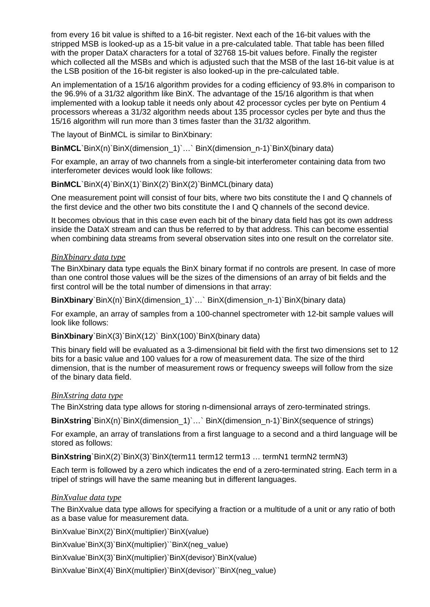from every 16 bit value is shifted to a 16-bit register. Next each of the 16-bit values with the stripped MSB is looked-up as a 15-bit value in a pre-calculated table. That table has been filled with the proper DataX characters for a total of 32768 15-bit values before. Finally the register which collected all the MSBs and which is adjusted such that the MSB of the last 16-bit value is at the LSB position of the 16-bit register is also looked-up in the pre-calculated table.

An implementation of a 15/1[6 algorithm provides for a](mailto:marko.cebokli@mors.si) coding efficiency of 93.8% in comparison to the 96.9% of a 31/32 algorith[m like BinX. The advanta](mailto:radiosky@radiosky.com)ge of the [15/16 algorithm is that wh](http://www.radiosky.com)en implemented with a lookup t[able it needs only abou](mailto:brodrick@fastmail.fm)t 42 processor cycles per byte on Pentium 4 processors whereas a 31/32 algorithm needs about 135 processor cycles per byte and thus the 15/16 algorithm will run more than 3 times faster than the 31/32 algorithm.

The layout of BinMCL is similar to BinXbinary:

BinMCL `BinX(n)`BinX(dimension\_1)`…` BinX(dimension\_n-1)`BinX(binary data)

For example, an array of two channels from a single-bit interferometer containing data from two interferometer devices would look like follows:

BinMCL `BinX(4)`BinX(1)`BinX(2)`BinX(2)`BinMCL(binary data)

One measurement point will consist of four bits, where two bits constitute the I and Q channels of the first device and the other two bits constitute the I and Q channels of the second device.

It becomes obvious that in this case even each bit of the binary data field has got its own address inside the DataX s[tream and can thus be referred to by that addres](http://groups.yahoo.com/groups/erac-vlbi)s. This can become essential when combining data streams from s[everal observation sites into one result on the c](http://workshop.eracnet.org/allbin.htm)orrelator site.

#### **BinXbinary data type**

The BinXbinary data type equals the BinX binary format if no controls are present. In case of more than one control those values will be the sizes of the dimensions of an array of bit fields and the first control will be the total number of dimensions in that array:

BinXbinary `BinX(n)`BinX(dimension\_1)`...` BinX(dimension\_n-1)`BinX(binary data)

For example, an array of samples from a 100-channel spectrometer with 12-bit sample values will look like follows:

BinXbinary `BinX(3)`BinX(12)` BinX(100)`BinX(binary data)

This binary field will be evaluated as a 3-dimensional bit field with the first two dimensions set to 12 bits for a basic value and 100 values for a row of measurement data. The size of the third dimension, that is the number of measurement rows or frequency sweeps will follow from the size of the binary data field.

#### **BinXstring data type**

The BinXstring data type allows for storing n-dimensional arrays of zero-terminated strings.

BinXstring `BinX(n)`BinX(dimension\_1)`…` BinX(dimension\_n-1)`BinX(sequence of strings)

For example, an array of translations from a first language to a second and a third language will be stored as follows:

BinXstring `BinX(2)`BinX(3)`BinX(term11 term12 term13 ... termN1 termN2 termN3)

Each term is followed by a zero which indicates the end of a zero-terminated string. Each term in a tripel of strings will have the same meaning but in different languages.

#### **BinXvalue data type**

The BinXvalue data type allows for specifying a fraction or a multitude of a unit or any ratio of both as a base value for measurement data.

BinXvalue`BinX(2)`BinX(multiplier)`BinX(value)

BinXvalue`BinX(3)`BinX(multiplier)``BinX(neg\_value)

BinXvalue`BinX(3)`BinX(multiplier)`BinX(devisor)`BinX(value)

BinXvalue`BinX(4)`BinX(multiplier)`BinX(devisor)``BinX(neg\_value)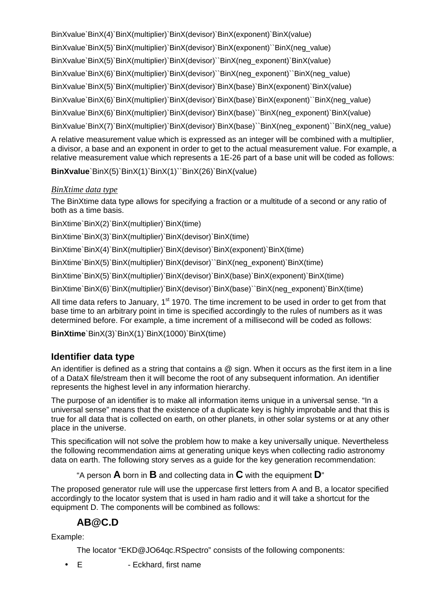BinXvalue`BinX(4)`BinX(multiplier)`BinX(devisor)`BinX(exponent)`BinX(value) BinXvalue`BinX(5)`BinX(multiplier)`BinX(devisor)`BinX(exponent)``BinX(neg\_value) BinXvalue`BinX(5)`BinX(multiplier)`BinX(devisor)``BinX(neg\_exponent)`BinX(value) BinXvalue`BinX(6)`BinX(multi[plier\)`BinX\(devisor\)``BinX](mailto:marko.cebokli@mors.si)(neg\_exponent)``BinX(neg\_value) BinXvalue`BinX(5)`BinX(multi[plier\)`BinX\(devisor\)`BinX\(b](mailto:radiosky@radiosky.com)ase)`BinX[\(exponent\)`BinX\(value\)](http://www.radiosky.com) BinXvalue`BinX(6)`BinX(multiplier)`BinX(devisor)`BinX(base)`BinX(exponent)``BinX(neg\_value) BinXvalue`BinX(6)`BinX(multi[plier\)`BinX\(devisor\)`Bin](mailto:brodrick@fastmail.fm)X(base)``BinX(neg\_exponent)`BinX(value) BinXvalue`BinX(7)`BinX(multiplier)`BinX(devisor)`BinX(base)``BinX(neg\_exponent)``BinX(neg\_value) A relative measurement value which is expressed as an integer will be combined with a multiplier,

a divisor, a base and an exponent in order to get to the actual measurement value. For example, a relative measurement value which represents a 1E-26 part of a base unit will be coded as follows:

BinXvalue `BinX(5)`BinX(1)`BinX(1)``BinX(26)`BinX(value)

## **BinXtimedata type**

The BinXtime data type allows for specifying a fraction or a multitude of a second or any ratio of both as a time basis.

BinXtime`BinX(2)`[BinX\(multiplier\)`BinX\(time\)](http://groups.yahoo.com/groups/erac-vlbi)

BinXtime`BinX(3)`BinX(multiplier)`BinX(devisor)`BinX(time)

BinXtime`BinX(4)`BinX(multiplier)`Bin[X\(devisor\)`BinX\(exponent\)`BinX\(time\)](http://workshop.eracnet.org/allbin.htm)

BinXtime`BinX(5)`BinX(multiplier)`BinX(devisor)``BinX(neg\_exponent)`BinX(time)

BinXtime`BinX(5)`BinX(multiplier)`BinX(devisor)`BinX(base)`BinX(exponent)`BinX(time)

BinXtime`BinX(6)`BinX(multiplier)`BinX(devisor)`BinX(base)``BinX(neg\_exponent)`BinX(time)

All time data refers to January, 1<sup>st</sup> 1970. The time increment to be used in order to get from that base time to an arbitrary point in time is specified accordingly to the rules of numbers as it was determined before. For example, a time increment of a millisecond will be coded as follows:

BinXtime `BinX(3)`BinX(1)`BinX(1000)`BinX(time)

## Identifier data type

An identifier is defined as a string that contains a @ sign. When it occurs as the first item in a line of a DataX file/stream then it will become the root of any subsequent information. An identifier represents the highest level in any information hierarchy.

The purpose of an identifier is to make all information items unique in a universal sense. "In a universal sense" means that the existence of a duplicate key is highly improbable and that this is true for all data that is collected on earth, on other planets, in other solar systems or at any other place in the universe.

This specification will not solve the problem how to make a key universally unique. Nevertheless the following recommendation aims at generating unique keys when collecting radio astronomy data on earth. The following story serves as a guide for the key generation recommendation:

"A person A born in B and collecting data in C with the equipment  $D$ "

The proposed generator rule will use the uppercase first letters from A and B, a locator specified accordingly to the locator system that is used in ham radio and it will take a shortcut for the equipment D. The components will be combined as follows:

## AB@C.D

Example:

The locator "EKD@JO64qc.RSpectro" consists of the following components:

· E - Eckhard, first name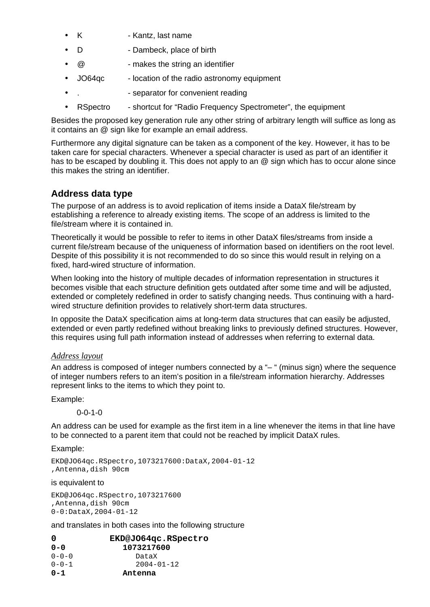- · K Kantz, last name
- · D Dambeck, place of birth
- · @ makes the string an identifier
- · JO64qc locati[on of the radio astronom](mailto:marko.cebokli@mors.si)y equipment
- · . separ[ator for convenient readi](mailto:radiosky@radiosky.com)ng
- · RSpectro short[cut for "Radio Frequen](mailto:brodrick@fastmail.fm)cy Spectrometer", the equipment

Besides the proposed key generation rule any other string of arbitrary length will suffice as long as it contains an @ sign like for example an email address.

Furthermore any digital signature can be taken as a component of the key. However, it has to be taken care for special characters. Whenever a special character is used as part of an identifier it has to be escaped by doubling it. This does not apply to an @ sign which has to occur alone since this makes the string an identifier.

#### Address data type

The purpose of an address is to avoid replication of items inside a DataX file/stream by establishing a reference to already existing items. The scope of an address is limited to the file/stream where i[t is contained in.](http://groups.yahoo.com/groups/erac-vlbi)

Theoretically it would be possible to refer to items in other DataX files/streams from inside a current file/stream because of the un[iqueness of information based on identifiers on](http://workshop.eracnet.org/allbin.htm) the root level. Despite of this possibility it is not recommended to do so since this would result in relying on a fixed, hard-wired structure of information.

When looking into the history of multiple decades of information representation in structures it becomes visible that each structure definition gets outdated after some time and will be adjusted, extended or completely redefined in order to satisfy changing needs. Thus continuing with a hardwired structure definition provides to relatively short-term data structures.

In opposite the DataX specification aims at long-term data structures that can easily be adjusted, extended or even partly redefined without breaking links to previously defined structures. However, this requires using full path information instead of addresses when referring to external data.

#### Addresslavout

An address is composed of integer numbers connected by a "-" (minus sign) where the sequence of integer numbers refers to an item's position in a file/stream information hierarchy. Addresses represent links to the items to which they point to.

Example:

0-0-1-0

An address can be used for example as the first item in a line whenever the items in that line have to be connected to a parent item that could not be reached by implicit DataX rules.

Example:

EKD@JO64qc.RSpectro,1073217600:DataX,2004-01-12 ,Antenna,dish 90cm

is equivalent to

EKD@JO64qc.RSpectro,1073217600 ,Antenna,dish 90cm 0-0:DataX,2004-01-12

and translates in both cases into the following structure

| 0           | EKD@JO64qc.RSpectro |
|-------------|---------------------|
| 0-0         | 1073217600          |
| $0 - 0 - 0$ | DataX               |
| $0 - 0 - 1$ | 2004-01-12          |
| $0 - 1$     | Antenna             |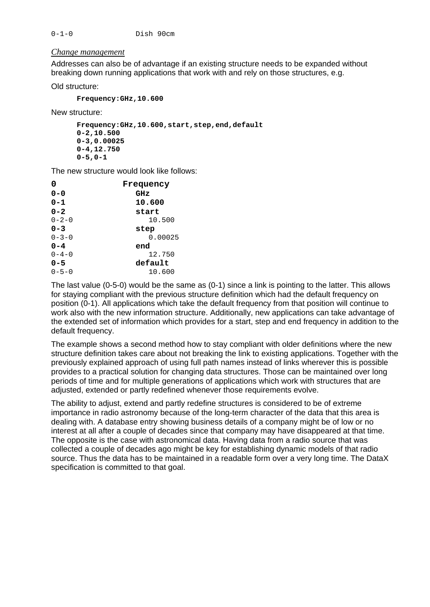#### Changemanagement

Addresses can also be of advantage if an existing structure needs to be expanded without breaking down running appli[cations that work with an](mailto:marko.cebokli@mors.si)d rely on those structures, e.g.

Old structure:

Frequency:GHz,10.600

New structure:

Frequency:GHz,10.600,start,step,end,default 0-2,10.500 0-3,0.00025 0-4,12.750 0-5,0-1

The new structure would look like follows:

| 0           | Frequency |
|-------------|-----------|
| $0 - 0$     | GHz       |
| $0 - 1$     | 10.600    |
| $0 - 2$     | start     |
| $0 - 2 - 0$ | 10.500    |
| $0 - 3$     | step      |
| $0 - 3 - 0$ | 0.00025   |
| $0 - 4$     | end       |
| $0 - 4 - 0$ | 12.750    |
| 0-5         | default   |
| $0 - 5 - 0$ | 10.600    |
|             |           |

The last value (0-5-0) would be the same as (0-1) since a link is pointing to the latter. This allows for staying compliant with the previous structure definition which had the default frequency on position (0-1). All applications which take the default frequency from that position will continue to work also with the new information structure. Additionally, new applications can take advantage of the extended set of information which provides for a start, step and end frequency in addition to the default frequency.

The example shows a second method how to stay compliant with older definitions where the new structure definition takes care about not breaking the link to existing applications. Together with the previously explained approach of using full path names instead of links wherever this is possible provides to a practical solution for changing data structures. Those can be maintained over long periods of time and for multiple generations of applications which work with structures that are adjusted, extended or partly redefined whenever those requirements evolve.

The ability to adjust, extend and partly redefine structures is considered to be of extreme importance in radio astronomy because of the long-term character of the data that this area is dealing with. A database entry showing business details of a company might be of low or no interest at all after a couple of decades since that company may have disappeared at that time. The opposite is the case with astronomical data. Having data from a radio source that was collected a couple of decades ago might be key for establishing dynamic models of that radio source. Thus the data has to be maintained in a readable form over a very long time. The DataX specification is committed to that goal.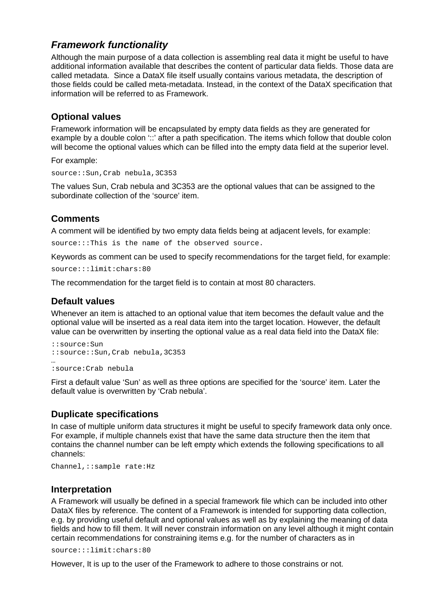## Framework functionality

Although the main purpose of a data collection is assembling real data it might be useful to have additional information available that describes the content of particular data fields. Those data are called metadata. Since a Da[taX file itself usually con](mailto:marko.cebokli@mors.si)tains various metadata, the description of those fields could be called meta-metadata. Instead, in the cont[ext of the DataX specifica](http://www.radiosky.com)tion that information will be referred t[o as Framework.](mailto:radiosky@radiosky.com)

#### Optional values

Framework information will be encapsulated by empty data fields as they are generated for example by a double colon '::' after a path specification. The items which follow that double colon will become the optional values which can be filled into the empty data field at the superior level.

For example:

source::Sun,Crab nebula,3C353

The values Sun, Crab nebula and 3C353 are the optional values that can be assigned to the subordinate collection of the 'source' item.

## **Comments**

A comment will be [identified by two empty data fields being at adjac](http://groups.yahoo.com/groups/erac-vlbi)ent levels, for example:

source:::This is the name of t[he observed source.](http://workshop.eracnet.org/allbin.htm)

Keywords as comment can be used to specify recommendations for the target field, for example: source:::limit:chars:80

The recommendation for the target field is to contain at most 80 characters.

#### Default values

Whenever an item is attached to an optional value that item becomes the default value and the optional value will be inserted as a real data item into the target location. However, the default value can be overwritten by inserting the optional value as a real data field into the DataX file:

::source:Sun ::source::Sun,Crab nebula,3C353 … :source:Crab nebula

First a default value 'Sun' as well as three options are specified for the 'source' item. Later the default value is overwritten by 'Crab nebula'.

#### Duplicate specifications

In case of multiple uniform data structures it might be useful to specify framework data only once. For example, if multiple channels exist that have the same data structure then the item that contains the channel number can be left empty which extends the following specifications to all channels:

Channel,::sample rate:Hz

#### Interpretation

A Framework will usually be defined in a special framework file which can be included into other DataX files by reference. The content of a Framework is intended for supporting data collection, e.g. by providing useful default and optional values as well as by explaining the meaning of data fields and how to fill them. It will never constrain information on any level although it might contain certain recommendations for constraining items e.g. for the number of characters as in

source:::limit:chars:80

However, It is up to the user of the Framework to adhere to those constrains or not.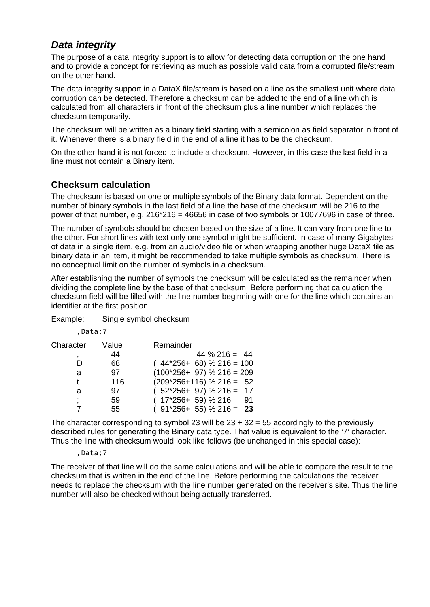## Data integrity

The purpose of a data integrity support is to allow for detecting data corruption on the one hand and to provide a concept for retrieving as much as possible valid data from a corrupted file/stream on the other hand.

The data integrity support in [a DataX file/stream is ba](mailto:radiosky@radiosky.com)sed on a l[ine as the smallest unit w](http://www.radiosky.com)here data corruption can be detected. Therefore a checksum can be added to the end of a line which is calculated from all character[s in front of the checks](mailto:brodrick@fastmail.fm)um plus a line number which replaces the checksum temporarily.

The checksum will be written as a binary field starting with a semicolon as field separator in front of it. Whenever there is a binary field in the end of a line it has to be the checksum.

On the other hand it is not forced to include a checksum. However, in this case the last field in a line must not contain a Binary item.

## Checksum calculation

The checksum is based on one or multiple symbols of the Binary data format. Dependent on the number of binary symbols in the last field of a line the base of the checksum will be 216 to the power of that number, e.g.  $216*216 = 46656$  in case of two symbols or 10077696 in case of three.

The number of sy[mbols should be chosen based on the size of a lin](http://groups.yahoo.com/groups/erac-vlbi)e. It can vary from one line to the other. For short lines with text only one symbol might be sufficient. In case of many Gigabytes of data in a single item, e.g. from an [audio/video file or when wrapping another huge](http://workshop.eracnet.org/allbin.htm) DataX file as binary data in an item, it might be recommended to take multiple symbols as checksum. There is no conceptual limit on the number of symbols in a checksum.

After establishing the number of symbols the checksum will be calculated as the remainder when dividing the complete line by the base of that checksum. Before performing that calculation the checksum field will be filled with the line number beginning with one for the line which contains an identifier at the first position.

Example: Single symbol checksum

| ъ.<br>∽<br>., |  |
|---------------|--|
|---------------|--|

| Character | Value | Remainder                   |
|-----------|-------|-----------------------------|
|           | 44    | $44 \% 216 = 44$            |
| D         | 68    | $(44*256+68)$ % 216 = 100   |
| a         | 97    | $(100*256+ 97)$ % 216 = 209 |
|           | 116   | $(209*256+116)$ % 216 = 52  |
| a         | 97    | $(52*256+97)$ % 216 = 17    |
|           | 59    | $(17*256+59)$ % 216 = 91    |
|           | 55    | $(91*256+55)$ % 216 = 23    |

The character corresponding to symbol 23 will be  $23 + 32 = 55$  accordingly to the previously described rules for generating the Binary data type. That value is equivalent to the '7' character. Thus the line with checksum would look like follows (be unchanged in this special case):

#### ,Data;7

The receiver of that line will do the same calculations and will be able to compare the result to the checksum that is written in the end of the line. Before performing the calculations the receiver needs to replace the checksum with the line number generated on the receiver's site. Thus the line number will also be checked without being actually transferred.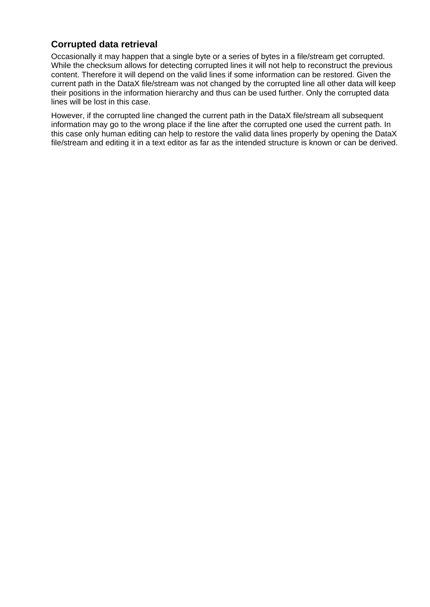## Corrupted data retrieval

Occasionally it may happen that a single byte or a series of bytes in a file/stream get corrupted. While the checksum allows for detecting corrupted lines it will not help to reconstruct the previous content. Therefore it will depend on the valid lines if some information can be restored. Given the current path in the DataX file[/stream was not change](mailto:marko.cebokli@mors.si)d by the corrupted line all other data will keep their positions in the informat[ion hierarchy and thus ca](mailto:radiosky@radiosky.com)n be use[d further. Only the corrupt](http://www.radiosky.com)ed data lines will be lost in this case.

However, if the corrupted line changed the current path in the DataX file/stream all subsequent information may go to the wrong place if the line after the corrupted one used the current path. In this case only human editing can help to restore the valid data lines properly by opening the DataX file/stream and editing it in a text editor as far as the intended structure is known or can be derived.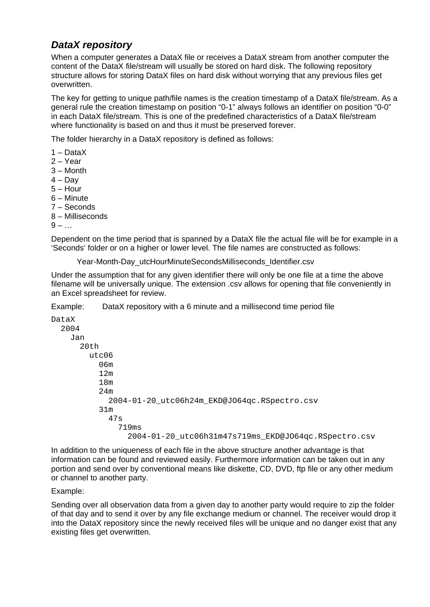## DataX repository

When a computer generates a DataX file or receives a DataX stream from another computer the content of the DataX file/stream will usually be stored on hard disk. The following repository structure allows for storing D[ataX files on hard disk w](mailto:marko.cebokli@mors.si)ithout worrying that any previous files get overwritten.

The key for getting to unique [path/file names is the cr](mailto:radiosky@radiosky.com)eation tim[estamp of a DataX file/str](http://www.radiosky.com)eam. As a general rule the creation tim[estamp on position "0-](mailto:brodrick@fastmail.fm)1" always follows an identifier on position "0-0" in each DataX file/stream. This is one of the predefined characteristics of a DataX file/stream where functionality is based on and thus it must be preserved forever.

The folder hierarchy in a DataX repository is defined as follows:

- 1 DataX
- 2 Year
- 3 Month
- $4 Dav$
- $5 -$  Hour
- 6 Minute
- 7 Seconds
- 8 Milliseconds
- $9 ...$

Dependent on the time period that is spanned by a DataX file the actual file will be for example in a 'Seconds' folder or on a higher or lo[wer level. The file names are constructed as follo](http://workshop.eracnet.org/allbin.htm)ws:

Year-Month-Day\_utcHourMinuteSecondsMilliseconds\_Identifier.csv

Under the assumption that for any given identifier there will only be one file at a time the above filename will be universally unique. The extension .csv allows for opening that file conveniently in an Excel spreadsheet for review.

Example: DataX repository with a 6 minute and a millisecond time period file

DataX

2004

| <b>2004</b>                                          |
|------------------------------------------------------|
| Jan                                                  |
| 20th                                                 |
| utc06                                                |
| 06m                                                  |
| 12 <sub>m</sub>                                      |
| 18 <sub>m</sub>                                      |
| 24m                                                  |
| 2004-01-20_utc06h24m_EKD@JO64qc.RSpectro.csv         |
| 31 <sub>m</sub>                                      |
| 47s                                                  |
| 719 <sub>ms</sub>                                    |
| 2004-01-20_utc06h31m47s719ms_EKD@JO64qc.RSpectro.csv |
|                                                      |

In addition to the uniqueness of each file in the above structure another advantage is that information can be found and reviewed easily. Furthermore information can be taken out in any portion and send over by conventional means like diskette, CD, DVD, ftp file or any other medium or channel to another party.

#### Example:

Sending over all observation data from a given day to another party would require to zip the folder of that day and to send it over by any file exchange medium or channel. The receiver would drop it into the DataX repository since the newly received files will be unique and no danger exist that any existing files get overwritten.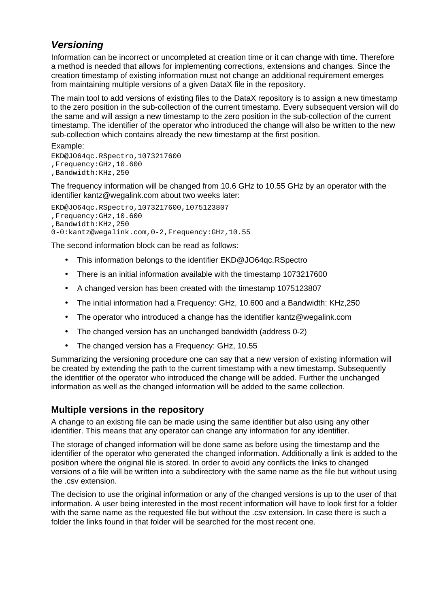## Versioning

Information can be incorrect or uncompleted at creation time or it can change with time. Therefore a method is needed that allows for implementing corrections, extensions and changes. Since the creation timestamp of existin[g information must not c](mailto:marko.cebokli@mors.si)hange an additional requirement emerges from maintaining multiple versions of a given DataX file in the repository.

The main tool to add version[s of existing files to the D](mailto:radiosky@radiosky.com)ataX repo[sitory is to assign a new t](http://www.radiosky.com)imestamp to the zero position in the su[b-collection of the curr](mailto:brodrick@fastmail.fm)ent timestamp. Every subsequent version will do the same and will assign a new timestamp to the zero position in the sub-collection of the current timestamp. The identifier of the operator who introduced the change will also be written to the new sub-collection which contains already the new timestamp at the first position.

Example: EKD@JO64qc.RSpectro,1073217600 ,Frequency:GHz,10.600 ,Bandwidth:KHz,250

The frequency information will be changed from 10.6 GHz to 10.55 GHz by an operator with the identifier [kantz@wegalink.com](mailto:kantz@wegalink.com) about two weeks later:

EKD@JO64qc.RSpectro,1073217600,1075123807 ,Frequency:GHz,10.600 ,Bandwidth:KHz,250 0-0:kantz@wegalin[k.com,0-2,Frequency:GHz,10.55](http://groups.yahoo.com/groups/erac-vlbi)

The second information block can be [read as follows:](http://workshop.eracnet.org/allbin.htm)

- · This information belongs to the identifier EKD@JO64qc.RSpectro
- · There is an initial information available with the timestamp 1073217600
- · A changed version has been created with the timestamp 1075123807
- · The initial information had a Frequency: GHz, 10.600 and a Bandwidth: KHz,250
- · The operator who introduced a change has the identifier kantz@wegalink.com
- · The changed version has an unchanged bandwidth (address 0-2)
- · The changed version has a Frequency: GHz, 10.55

Summarizing the versioning procedure one can say that a new version of existing information will be created by extending the path to the current timestamp with a new timestamp. Subsequently the identifier of the operator who introduced the change will be added. Further the unchanged information as well as the changed information will be added to the same collection.

## Multiple versions in the repository

A change to an existing file can be made using the same identifier but also using any other identifier. This means that any operator can change any information for any identifier.

The storage of changed information will be done same as before using the timestamp and the identifier of the operator who generated the changed information. Additionally a link is added to the position where the original file is stored. In order to avoid any conflicts the links to changed versions of a file will be written into a subdirectory with the same name as the file but without using the .csv extension.

The decision to use the original information or any of the changed versions is up to the user of that information. A user being interested in the most recent information will have to look first for a folder with the same name as the requested file but without the .csv extension. In case there is such a folder the links found in that folder will be searched for the most recent one.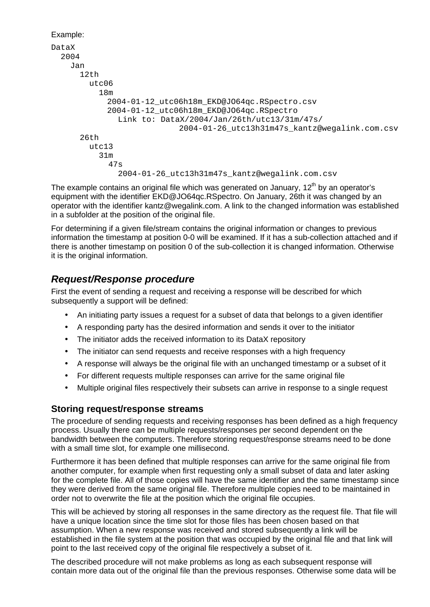```
Example:
DataX
   2004
      Jan
        12th
          utc06
             18m
               2004-01-12_utc06h18m_EKD@JO64qc.RSpectro.csv
               2004-01-12_utc06h18m_EKD@JO64qc.RSpectro
                  Link to: DataX/2004/Jan/26th/utc13/31m/47s/
                                 2004-01-26_utc13h31m47s_kantz@wegalink.com.csv
        26th
          utc13
             31m
               47s
                  2004-01-26_utc13h31m47s_kantz@wegalink.com.csv
```
The example contains an original file which was generated on January,  $12<sup>th</sup>$  by an operator's equipme[nt with the identifier EK](mailto:kantz@wegalink.com)D@JO64qc.RSpectro. On January, 26th it was changed by an operator with the identifier [kantz@wegalink.com.](mailto:kantz@wegalink.com) A link to the changed information was established in a subfolder at the position of the original file.

For determining if [a given file/stream contains the original informatio](http://groups.yahoo.com/groups/erac-vlbi)n or changes to previous information the timestamp at position 0-0 will be examined. If it has a sub-collection attached and if there is another timestamp on positi[on 0 of the sub-collection it is changed informatio](http://workshop.eracnet.org/allbin.htm)n. Otherwise it is the original information.

## Request/Response procedure

First the event of sending a request and receiving a response will be described for which subsequently a support will be defined:

- · An initiating party issues a request for a subset of data that belongs to a given identifier
- · A responding party has the desired information and sends it over to the initiator
- · The initiator adds the received information to its DataX repository
- · The initiator can send requests and receive responses with a high frequency
- · A response will always be the original file with an unchanged timestamp or a subset of it
- · For different requests multiple responses can arrive for the same original file
- · Multiple original files respectively their subsets can arrive in response to a single request

#### Storing request/response streams

The procedure of sending requests and receiving responses has been defined as a high frequency process. Usually there can be multiple requests/responses per second dependent on the bandwidth between the computers. Therefore storing request/response streams need to be done with a small time slot, for example one millisecond.

Furthermore it has been defined that multiple responses can arrive for the same original file from another computer, for example when first requesting only a small subset of data and later asking for the complete file. All of those copies will have the same identifier and the same timestamp since they were derived from the same original file. Therefore multiple copies need to be maintained in order not to overwrite the file at the position which the original file occupies.

This will be achieved by storing all responses in the same directory as the request file. That file will have a unique location since the time slot for those files has been chosen based on that assumption. When a new response was received and stored subsequently a link will be established in the file system at the position that was occupied by the original file and that link will point to the last received copy of the original file respectively a subset of it.

The described procedure will not make problems as long as each subsequent response will contain more data out of the original file than the previous responses. Otherwise some data will be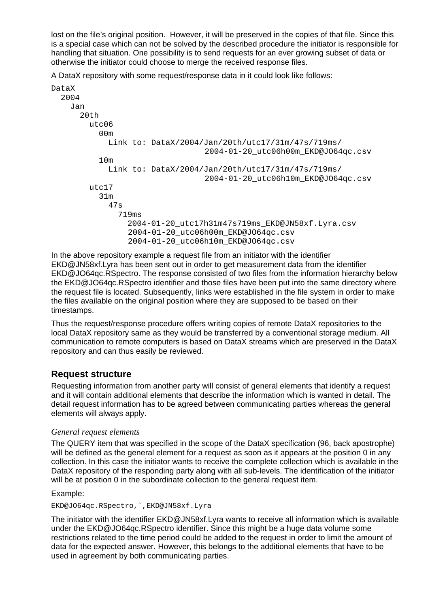lost on the file's original position. However, it will be preserved in the copies of that file. Since this is a special case which can not be solved by the described procedure the initiator is responsible for handling that situation. One possibility is to send requests for an ever growing subset of data or otherwise the initiator could choose to merge the received response files.

A DataX repository with som[e request/response data](mailto:marko.cebokli@mors.si) in it could look like follows:

| DataX                                            |                 |     |                                          |
|--------------------------------------------------|-----------------|-----|------------------------------------------|
| 2004                                             |                 |     |                                          |
| Jan                                              |                 |     |                                          |
| 20th                                             |                 |     |                                          |
|                                                  | utc06           |     |                                          |
|                                                  | 00 <sub>m</sub> |     |                                          |
|                                                  | Link            | to: | DataX/2004/Jan/20th/utc17/31m/47s/719ms/ |
|                                                  |                 |     | 2004-01-20 utc06h00m EKD@JO64qc.csv      |
|                                                  | 10 <sub>m</sub> |     |                                          |
|                                                  | Link            | to: | DataX/2004/Jan/20th/utc17/31m/47s/719ms/ |
|                                                  |                 |     | 2004-01-20_utc06h10m_EKD@JO64qc.csv      |
|                                                  | utc17           |     |                                          |
|                                                  | 31 <sub>m</sub> |     |                                          |
|                                                  | 47s             |     |                                          |
| 719 <sub>ms</sub>                                |                 |     |                                          |
| 2004-01-20_utc17h31m47s719ms_EKD@JN58xf.Lyra.csv |                 |     |                                          |
| 2004-01-20_utc06h00m_EKD@JO64qc.csv              |                 |     |                                          |
| 2004-01-20_utc06h10m_EKD@JO64qc.csv              |                 |     |                                          |

In the above repository example a request file from an initiator with the identifier EKD@JN58xf.Lyra has been sent out in order to get measurement data from the identifier EKD@JO64qc.RSpectro. The response consisted of two files from the information hierarchy below the EKD@JO64qc.RSpectro identifier and those files have been put into the same directory where the request file is located. Subsequently, links were established in the file system in order to make the files available on the original position where they are supposed to be based on their timestamps.

Thus the request/response procedure offers writing copies of remote DataX repositories to the local DataX repository same as they would be transferred by a conventional storage medium. All communication to remote computers is based on DataX streams which are preserved in the DataX repository and can thus easily be reviewed.

#### Request structure

Requesting information from another party will consist of general elements that identify a request and it will contain additional elements that describe the information which is wanted in detail. The detail request information has to be agreed between communicating parties whereas the general elements will always apply.

#### **General requestelements**

The QUERY item that was specified in the scope of the DataX specification (96, back apostrophe) will be defined as the general element for a request as soon as it appears at the position 0 in any collection. In this case the initiator wants to receive the complete collection which is available in the DataX repository of the responding party along with all sub-levels. The identification of the initiator will be at position 0 in the subordinate collection to the general request item.

#### Example:

EKD@JO64qc.RSpectro,`,EKD@JN58xf.Lyra

The initiator with the identifier EKD@JN58xf.Lyra wants to receive all information which is available under the EKD@JO64qc.RSpectro identifier. Since this might be a huge data volume some restrictions related to the time period could be added to the request in order to limit the amount of data for the expected answer. However, this belongs to the additional elements that have to be used in agreement by both communicating parties.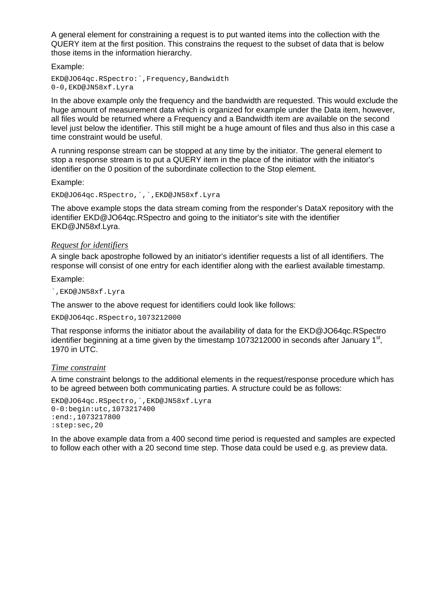A general element for constraining a request is to put wanted items into the collection with the QUERY item at the first position. This constrains the request to the subset of data that is below those items in the information hierarchy.

Example:

EKD@JO64qc.RSpectro:`,Freq[uency,Bandwidth](mailto:marko.cebokli@mors.si) 0-0,EKD@JN58xf.Lyra

In the above example only th[e frequency and the ban](mailto:radiosky@radiosky.com)dwidth ar[e requested. This would e](http://www.radiosky.com)xclude the huge amount of measureme[nt data which is organi](mailto:brodrick@fastmail.fm)zed for example under the Data item, however, all files would be returned where a Frequency and a Bandwidth item are available on the second level just below the identifier. This still might be a huge amount of files and thus also in this case a time constraint would be useful.

A running response stream can be stopped at any time by the initiator. The general element to stop a response stream is to put a QUERY item in the place of the initiator with the initiator's identifier on the 0 position of the subordinate collection to the Stop element.

Example:

EKD@JO[64qc.RSpectro,`,`,EKD@](mailto:kantz@wegalink.com)JN58xf.Lyra

The above example stops [the data stream comin](mailto:kantz@wegalink.com)g from the responder's DataX repository with the identifier EKD@JO64qc.RSpectro and going to the initiator's site with the identifier EKD@JN58xf.Lyr[a.](http://groups.yahoo.com/groups/erac-vlbi)

#### Requestor identifiers

A single back apostrophe followed by an initiator's identifier requests a list of all identifiers. The response will consist of one entry for each identifier along with the earliest available timestamp.

Example:

`,EKD@JN58xf.Lyra

The answer to the above request for identifiers could look like follows:

EKD@JO64qc.RSpectro,1073212000

That response informs the initiator about the availability of data for the EKD@JO64qc.RSpectro identifier beginning at a time given by the timestamp 1073212000 in seconds after January 1<sup>st</sup>, 1970 in UTC.

#### **Time constraint**

A time constraint belongs to the additional elements in the request/response procedure which has to be agreed between both communicating parties. A structure could be as follows:

EKD@JO64qc.RSpectro,`,EKD@JN58xf.Lyra 0-0:begin:utc,1073217400 :end:,1073217800 :step:sec,20

In the above example data from a 400 second time period is requested and samples are expected to follow each other with a 20 second time step. Those data could be used e.g. as preview data.